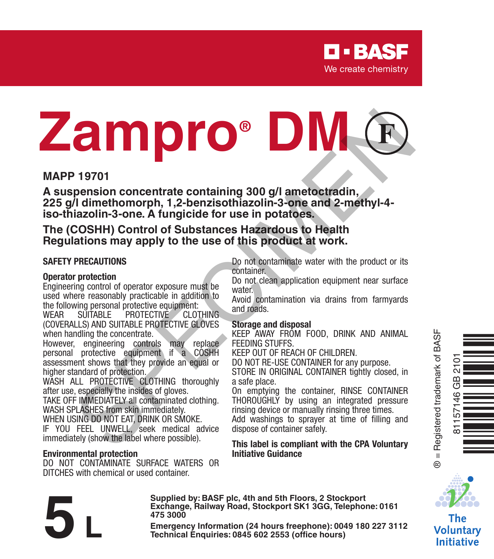

# **MAPP 19701**<br>
MAPP 19701<br>
As suspension concentrate containing 300 g/l ameteorization,<br>
225 g/l dimenthomorph, 1,2-benzisothiazolin-3-one and 2-methyl-4-<br>
225 g/l dimentomorph, 1,2-benzisothiazolin-3-one and 2-methyl-4-<br>
T

### **MAPP 19701**

**A suspension concentrate containing 300 g/l ametoctradin, 225 g/l dimethomorph, 1,2-benzisothiazolin-3-one and 2-methyl-4 iso-thiazolin-3-one. A fungicide for use in potatoes.**

**The (COSHH) Control of Substances Hazardous to Health Regulations may apply to the use of this product at work.**

### **SAFETY PRECAUTIONS**

### **Operator protection**

Engineering control of operator exposure must be used where reasonably practicable in addition to the following personal protective equipment:<br>WEAR SUITABLE PROTECTIVE CLOTHING

**PROTECTIVE** (COVERALLS) AND SUITABLE PROTECTIVE GLOVES when handling the concentrate.

However, engineering controls may replace personal protective equipment if a COSHH assessment shows that they provide an equal or higher standard of protection.

WASH ALL PROTECTIVE CLOTHING thoroughly after use, especially the insides of gloves.

TAKE OFF IMMEDIATELY all contaminated clothing. WASH SPLASHES from skin immediately.

WHEN USING DO NOT EAT, DRINK OR SMOKE.

IF YOU FEEL UNWELL, seek medical advice immediately (show the label where possible).

### **Environmental protection**

DO NOT CONTAMINATE SURFACE WATERS OR DITCHES with chemical or used container.

**475 3000**

Do not contaminate water with the product or its container.

Do not clean application equipment near surface water<sup>.</sup>

Avoid contamination via drains from farmyards and roads.

### **Storage and disposal**

KEEP AWAY FROM FOOD, DRINK AND ANIMAL FEEDING STUFFS.

KEEP OUT OF REACH OF CHILDREN.

DO NOT RE-USE CONTAINER for any purpose.

STORE IN ORIGINAL CONTAINER tightly closed, in a safe place.

On emptying the container, RINSE CONTAINER THOROUGHLY by using an integrated pressure rinsing device or manually rinsing three times.

Add washings to sprayer at time of filling and dispose of container safely.

### **This label is compliant with the CPA Voluntary Initiative Guidance**

Ò<br>NË NGËN

® = Registered trademark of BASF

 $\ddot{\circ}$ 

81157146 GB 2101

571.

The **Voluntary Initiative** 

Exchange, Rallway Road, Stockport SK1 3GG, Telephone: 0161<br>
475 3000<br>
Emergency Information (24 hours freephone): 0049 180 227 3112<br>
Technical Enquiries: 0845 602 2553 (office hours)

**Supplied by: BASF plc, 4th and 5th Floors, 2 Stockport Exchange, Railway Road, Stockport SK1 3GG, Telephone: 0161**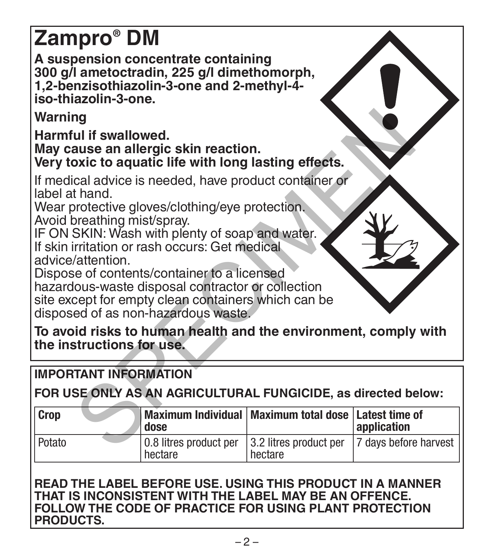## **Zampro® DM**

**A suspension concentrate containing 300 g/l ametoctradin, 225 g/l dimethomorph, 1,2-benzisothiazolin-3-one and 2-methyl-4 iso-thiazolin-3-one.**

### **IMPORTANT INFORMATION**

| Warning                                                                                                                                                                                                                                                                                                                                                                                                                                                                                |                                   |                                   |                               |
|----------------------------------------------------------------------------------------------------------------------------------------------------------------------------------------------------------------------------------------------------------------------------------------------------------------------------------------------------------------------------------------------------------------------------------------------------------------------------------------|-----------------------------------|-----------------------------------|-------------------------------|
| Harmful if swallowed.<br>May cause an allergic skin reaction.<br>Very toxic to aquatic life with long lasting effects.                                                                                                                                                                                                                                                                                                                                                                 |                                   |                                   |                               |
| If medical advice is needed, have product container or<br>label at hand.<br>Wear protective gloves/clothing/eye protection.<br>Avoid breathing mist/spray.<br>IF ON SKIN: Wash with plenty of soap and water.<br>If skin irritation or rash occurs: Get medical<br>advice/attention.<br>Dispose of contents/container to a licensed<br>hazardous-waste disposal contractor or collection<br>site except for empty clean containers which can be<br>disposed of as non-hazardous waste. |                                   |                                   |                               |
| To avoid risks to human health and the environment, comply with<br>the instructions for use.                                                                                                                                                                                                                                                                                                                                                                                           |                                   |                                   |                               |
| <b>IMPORTANT INFORMATION</b>                                                                                                                                                                                                                                                                                                                                                                                                                                                           |                                   |                                   |                               |
| FOR USE ONLY AS AN AGRICULTURAL FUNGICIDE, as directed below:                                                                                                                                                                                                                                                                                                                                                                                                                          |                                   |                                   |                               |
| Crop                                                                                                                                                                                                                                                                                                                                                                                                                                                                                   | Maximum Individual<br>dose        | Maximum total dose                | Latest time of<br>application |
| Potato                                                                                                                                                                                                                                                                                                                                                                                                                                                                                 | 0.8 litres product per<br>hectare | 3.2 litres product per<br>hectare | 7 days before harvest         |

**READ THE LABEL BEFORE USE. USING THIS PRODUCT IN A MANNER THAT IS INCONSISTENT WITH THE LABEL MAY BE AN OFFENCE. FOLLOW THE CODE OF PRACTICE FOR USING PLANT PROTECTION PRODUCTS.**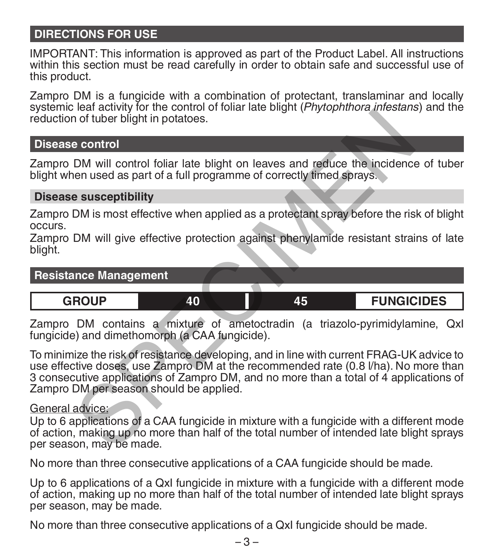### **DIRECTIONS FOR USE**

IMPORTANT: This information is approved as part of the Product Label. All instructions within this section must be read carefully in order to obtain safe and successful use of this product.

Zampro DM is a fungicide with a combination of protectant, translaminar and locally systemic leaf activity for the control of foliar late blight (*Phytophthora infestans*) and the reduction of tuber blight in potatoes.

### **Disease control**

Zampro DM will control foliar late blight on leaves and reduce the incidence of tuber blight when used as part of a full programme of correctly timed sprays.

### **Disease susceptibility**

Zampro DM is most effective when applied as a protectant spray before the risk of blight occurs.

Zampro DM will give effective protection against phenylamide resistant strains of late blight.

### **Resistance Management**

**GROUP 40 45 FUNGICIDES**

Zampro DM contains a mixture of ametoctradin (a triazolo-pyrimidylamine, QxI fungicide) and dimethomorph (a CAA fungicide).

To minimize the risk of resistance developing, and in line with current FRAG-UK advice to use effective doses, use Zampro DM at the recommended rate (0.8 l/ha). No more than 3 consecutive applications of Zampro DM, and no more than a total of 4 applications of Zampro DM per season should be applied. From detailed in potations.<br>
In of tuber blight in potatoes.<br>
a control<br>
DM will control foliar late blight on leaves and reduce the incidence<br>
nen used as part of a full programme of correctly timed sprays.<br> **e susceptibi** 

### General advice:

Up to 6 applications of a CAA fungicide in mixture with a fungicide with a different mode of action, making up no more than half of the total number of intended late blight sprays per season, may be made.

No more than three consecutive applications of a CAA fungicide should be made.

Up to 6 applications of a QxI fungicide in mixture with a fungicide with a different mode of action, making up no more than half of the total number of intended late blight sprays per season, may be made.

No more than three consecutive applications of a QxI fungicide should be made.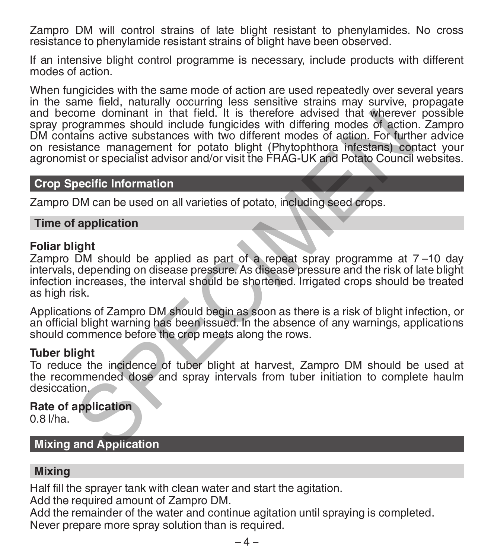Zampro DM will control strains of late blight resistant to phenylamides. No cross resistance to phenylamide resistant strains of blight have been observed.

If an intensive blight control programme is necessary, include products with different modes of action.

When fungicides with the same mode of action are used repeatedly over several years in the same field, naturally occurring less sensitive strains may survive, propagate and become dominant in that field. It is therefore advised that wherever possible spray programmes should include fungicides with differing modes of action. Zampro DM contains active substances with two different modes of action. For further advice on resistance management for potato blight (Phytophthora infestans) contact your agronomist or specialist advisor and/or visit the FRAG-UK and Potato Council websites. ome dominant in that field. It is therefore advised that wherever<br>ogrammes should include functions with two different modes of action<br>ains active substances with two different modes of action. For furth<br>ains active substa

### **Crop Specific Information**

Zampro DM can be used on all varieties of potato, including seed crops.

### **Time of application**

### **Foliar blight**

Zampro DM should be applied as part of a repeat spray programme at 7 –10 day intervals, depending on disease pressure. As disease pressure and the risk of late blight infection increases, the interval should be shortened. Irrigated crops should be treated as high risk.

Applications of Zampro DM should begin as soon as there is a risk of blight infection, or an official blight warning has been issued. In the absence of any warnings, applications should commence before the crop meets along the rows.

### **Tuber blight**

To reduce the incidence of tuber blight at harvest, Zampro DM should be used at the recommended dose and spray intervals from tuber initiation to complete haulm desiccation.

### **Rate of application**

0.8 l/ha.

**Mixing and Application**

### **Mixing**

Half fill the sprayer tank with clean water and start the agitation.

Add the required amount of Zampro DM.

Add the remainder of the water and continue agitation until spraying is completed. Never prepare more spray solution than is required.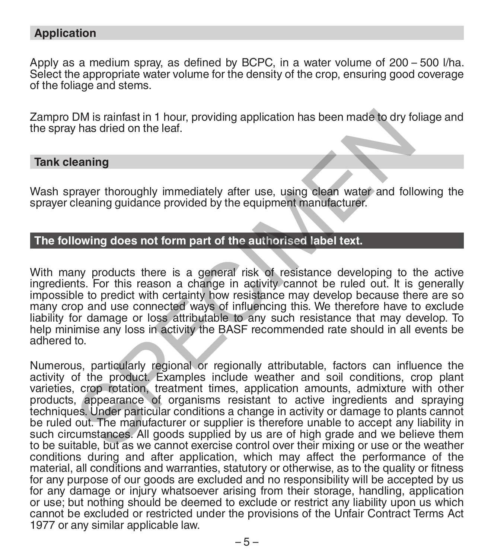### **Application**

Apply as a medium spray, as defined by BCPC, in a water volume of 200 – 500 l/ha.<br>Select the appropriate water volume for the density of the crop, ensuring good coverage of the foliage and stems.

Zampro DM is rainfast in 1 hour, providing application has been made to dry foliage and the spray has dried on the leaf.

### **Tank cleaning**

Wash sprayer thoroughly immediately after use, using clean water and following the sprayer cleaning quidance provided by the equipment manufacturer.

### **The following does not form part of the authorised label text.**

With many products there is a general risk of resistance developing to the active ingredients. For this reason a change in activity cannot be ruled out. It is generally impossible to predict with certainty how resistance may develop because there are so many crop and use connected ways of influencing this. We therefore have to exclude liability for damage or loss attributable to any such resistance that may develop. To help minimise any loss in activity the BASF recommended rate should in all events be adhered to.

Numerous, particularly regional or regionally attributable, factors can influence the activity of the product. Examples include weather and soil conditions, crop plant varieties, crop rotation, treatment times, application amounts, admixture with other products, appearance of organisms resistant to active ingredients and spraying techniques. Under particular conditions a change in activity or damage to plants cannot be ruled out. The manufacturer or supplier is therefore unable to accept any liability in such circumstances. All goods supplied by us are of high grade and we believe them to be suitable, but as we cannot exercise control over their mixing or use or the weather conditions during and after application, which may affect the performance of the material, all conditions and warranties, statutory or otherwise, as to the quality or fitness for any purpose of our goods are excluded and no responsibility will be accepted by us for any damage or injury whatsoever arising from their storage, handling, application or use; but nothing should be deemed to exclude or restrict any liability upon us which cannot be excluded or restricted under the provisions of the Unfair Contract Terms Act 1977 or any similar applicable law. DM is rainfast in 1 hour, providing application has been made to dry for this dried on the leaf.<br>
eaning<br>
earning<br>
earning guidance provided by the equipment manufacturer.<br>
Earning guidance provided by the equipment manufa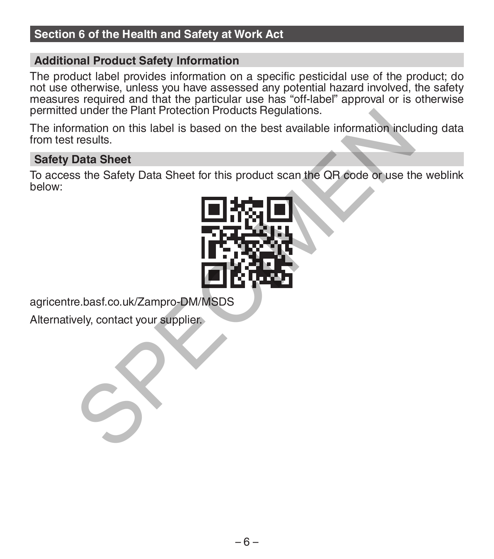### **Section 6 of the Health and Safety at Work Act**

### **Additional Product Safety Information**

The product label provides information on a specific pesticidal use of the product; do not use otherwise, unless you have assessed any potential hazard involved, the safety measures required and that the particular use has "off-label" approval or is otherwise permitted under the Plant Protection Products Regulations.

The information on this label is based on the best available information including data from test results.

### **Safety Data Sheet**

To access the Safety Data Sheet for this product scan the QR code or use the weblink below:



agricentre.basf.co.uk/Zampro-DM/MSDS

Alternatively, contact your supplier.